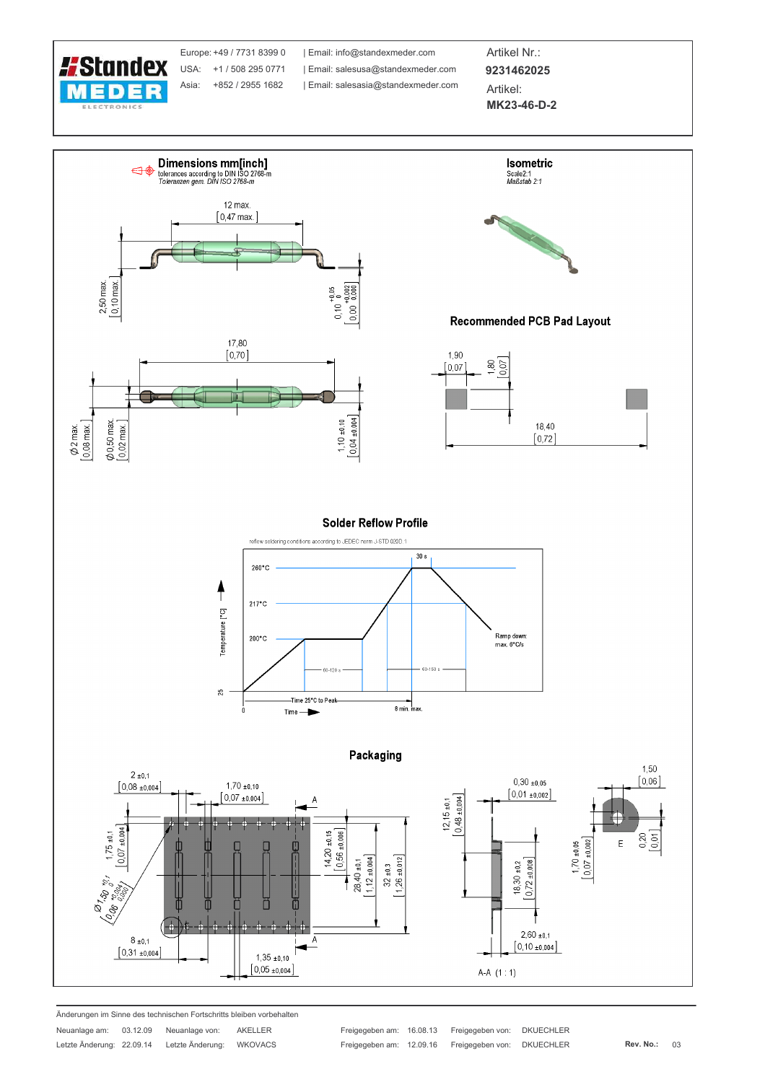

Europe: +49 / 7731 8399 0 USA: +1 / 508 295 0771 Asia: +852 / 2955 1682

| Email: info@standexmeder.com | Email: salesusa@standexmeder.com | Email: salesasia@standexmeder.com Artikel Nr.: 9231462025 Artikel:

MK23-46-D-2



Änderungen im Sinne des technischen Fortschritts bleiben vorbehalten

| Neuanlage am:             | 03.12.09 | Neuanlage von:   | AKELLER |
|---------------------------|----------|------------------|---------|
| Letzte Änderung: 22.09.14 |          | Letzte Änderung: | WKOVACS |